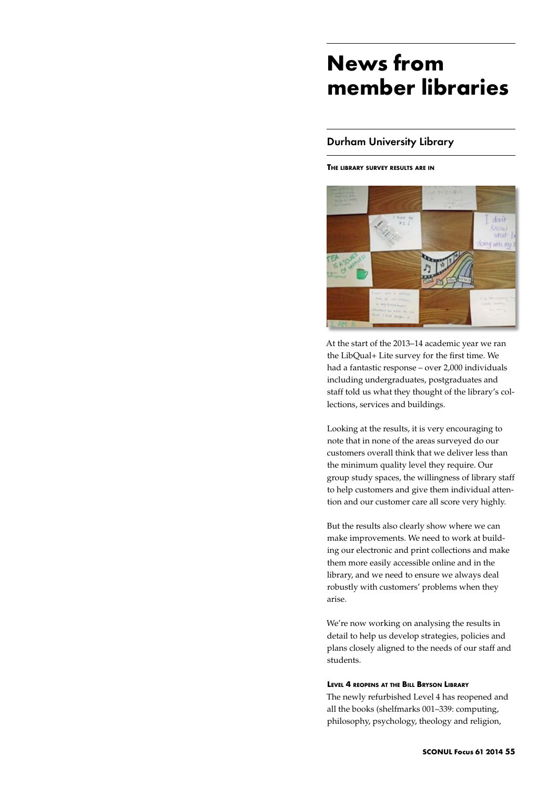# **News from member libraries**

# Durham University Library

**The library survey results are in**



At the start of the 2013–14 academic year we ran the LibQual+ Lite survey for the first time. We had a fantastic response – over 2,000 individuals including undergraduates, postgraduates and staff told us what they thought of the library's collections, services and buildings.

Looking at the results, it is very encouraging to note that in none of the areas surveyed do our customers overall think that we deliver less than the minimum quality level they require. Our group study spaces, the willingness of library staff to help customers and give them individual attention and our customer care all score very highly.

But the results also clearly show where we can make improvements. We need to work at building our electronic and print collections and make them more easily accessible online and in the library, and we need to ensure we always deal robustly with customers' problems when they arise.

We're now working on analysing the results in detail to help us develop strategies, policies and plans closely aligned to the needs of our staff and students.

# **Level 4 reopens at the Bill Bryson Library**

The newly refurbished Level 4 has reopened and all the books (shelfmarks 001–339: computing, philosophy, psychology, theology and religion,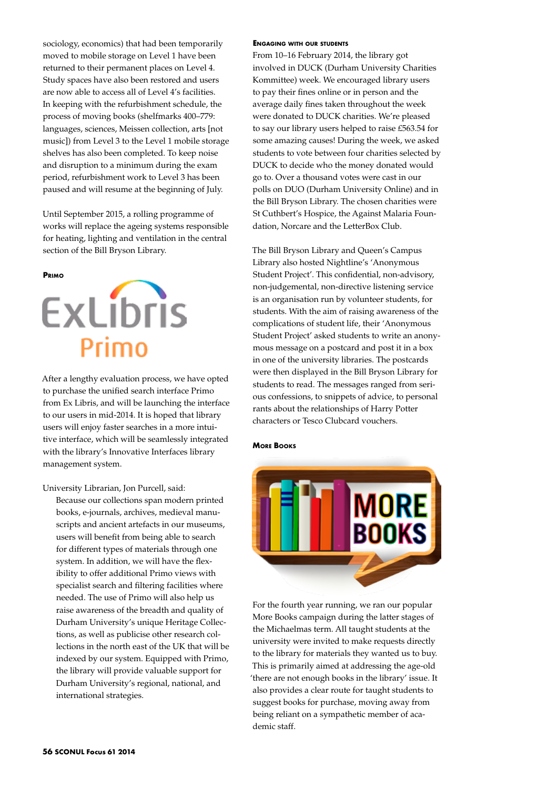sociology, economics) that had been temporarily moved to mobile storage on Level 1 have been returned to their permanent places on Level 4. Study spaces have also been restored and users are now able to access all of Level 4's facilities. In keeping with the refurbishment schedule, the process of moving books (shelfmarks 400–779: languages, sciences, Meissen collection, arts [not music]) from Level 3 to the Level 1 mobile storage shelves has also been completed. To keep noise and disruption to a minimum during the exam period, refurbishment work to Level 3 has been paused and will resume at the beginning of July.

Until September 2015, a rolling programme of works will replace the ageing systems responsible for heating, lighting and ventilation in the central section of the Bill Bryson Library.

#### **Primo**



After a lengthy evaluation process, we have opted to purchase the unified search interface Primo from Ex Libris, and will be launching the interface to our users in mid-2014. It is hoped that library users will enjoy faster searches in a more intuitive interface, which will be seamlessly integrated with the library's Innovative Interfaces library management system.

University Librarian, Jon Purcell, said:

Because our collections span modern printed books, e-journals, archives, medieval manuscripts and ancient artefacts in our museums, users will benefit from being able to search for different types of materials through one system. In addition, we will have the flexibility to offer additional Primo views with specialist search and filtering facilities where needed. The use of Primo will also help us raise awareness of the breadth and quality of Durham University's unique Heritage Collections, as well as publicise other research collections in the north east of the UK that will be indexed by our system. Equipped with Primo, the library will provide valuable support for Durham University's regional, national, and international strategies.

#### **Engaging with our students**

From 10–16 February 2014, the library got involved in DUCK (Durham University Charities Kommittee) week. We encouraged library users to pay their fines online or in person and the average daily fines taken throughout the week were donated to DUCK charities. We're pleased to say our library users helped to raise £563.54 for some amazing causes! During the week, we asked students to vote between four charities selected by DUCK to decide who the money donated would go to. Over a thousand votes were cast in our polls on DUO (Durham University Online) and in the Bill Bryson Library. The chosen charities were St Cuthbert's Hospice, the Against Malaria Foundation, Norcare and the LetterBox Club.

The Bill Bryson Library and Queen's Campus Library also hosted Nightline's 'Anonymous Student Project'. This confidential, non-advisory, non-judgemental, non-directive listening service is an organisation run by volunteer students, for students. With the aim of raising awareness of the complications of student life, their 'Anonymous Student Project' asked students to write an anonymous message on a postcard and post it in a box in one of the university libraries. The postcards were then displayed in the Bill Bryson Library for students to read. The messages ranged from serious confessions, to snippets of advice, to personal rants about the relationships of Harry Potter characters or Tesco Clubcard vouchers.

#### **More Books**



For the fourth year running, we ran our popular More Books campaign during the latter stages of the Michaelmas term. All taught students at the university were invited to make requests directly to the library for materials they wanted us to buy. This is primarily aimed at addressing the age-old 'there are not enough books in the library' issue. It also provides a clear route for taught students to suggest books for purchase, moving away from being reliant on a sympathetic member of academic staff.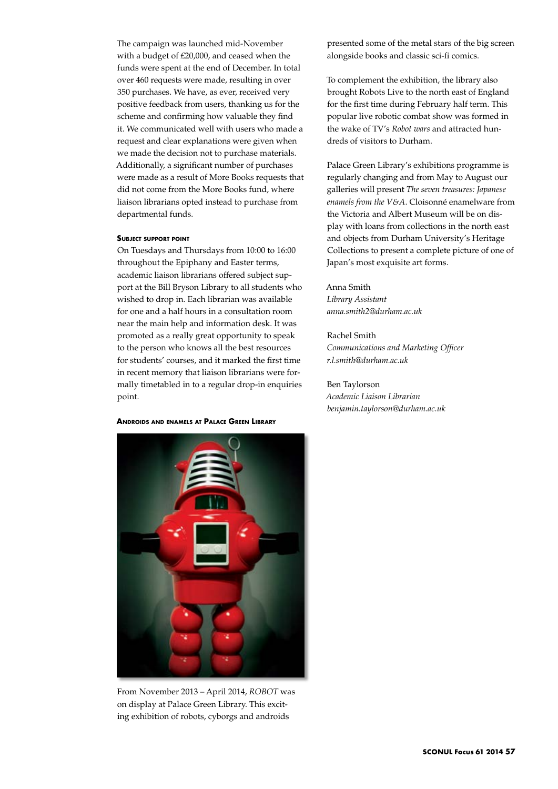The campaign was launched mid-November with a budget of £20,000, and ceased when the funds were spent at the end of December. In total over 460 requests were made, resulting in over 350 purchases. We have, as ever, received very positive feedback from users, thanking us for the scheme and confirming how valuable they find it. We communicated well with users who made a request and clear explanations were given when we made the decision not to purchase materials. Additionally, a significant number of purchases were made as a result of More Books requests that did not come from the More Books fund, where liaison librarians opted instead to purchase from departmental funds.

# **Subject support point**

On Tuesdays and Thursdays from 10:00 to 16:00 throughout the Epiphany and Easter terms, academic liaison librarians offered subject support at the Bill Bryson Library to all students who wished to drop in. Each librarian was available for one and a half hours in a consultation room near the main help and information desk. It was promoted as a really great opportunity to speak to the person who knows all the best resources for students' courses, and it marked the first time in recent memory that liaison librarians were formally timetabled in to a regular drop-in enquiries point.

# **Androids and enamels at Palace Green Library**



From November 2013 – April 2014, *ROBOT* was on display at Palace Green Library. This exciting exhibition of robots, cyborgs and androids

presented some of the metal stars of the big screen alongside books and classic sci-fi comics.

To complement the exhibition, the library also brought Robots Live to the north east of England for the first time during February half term. This popular live robotic combat show was formed in the wake of TV's *Robot wars* and attracted hundreds of visitors to Durham.

Palace Green Library's exhibitions programme is regularly changing and from May to August our galleries will present *The seven treasures: Japanese enamels from the V&A*. Cloisonné enamelware from the Victoria and Albert Museum will be on display with loans from collections in the north east and objects from Durham University's Heritage Collections to present a complete picture of one of Japan's most exquisite art forms.

Anna Smith *Library Assistant anna.smith2@durham.ac.uk*

Rachel Smith *Communications and Marketing Officer r.l.smith@durham.ac.uk*

Ben Taylorson *Academic Liaison Librarian benjamin.taylorson@durham.ac.uk*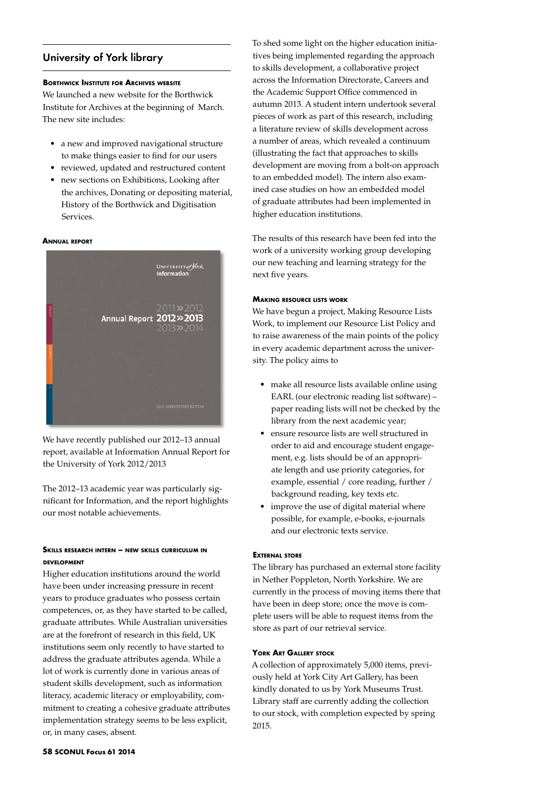# University of York library

## **Borthwick Institute for Archives website**

We launched a new website for the Borthwick Institute for Archives at the beginning of March. The new site includes:

- a new and improved navigational structure to make things easier to find for our users
- reviewed, updated and restructured content
- new sections on Exhibitions, Looking after the archives, Donating or depositing material, History of the Borthwick and Digitisation Services.

#### **Annual report**



We have recently published our 2012–13 annual report, available at Information Annual Report for the University of York 2012/2013

The 2012–13 academic year was particularly significant for Information, and the report highlights our most notable achievements.

# **Skills research intern – new skills curriculum in development**

Higher education institutions around the world have been under increasing pressure in recent years to produce graduates who possess certain competences, or, as they have started to be called, graduate attributes. While Australian universities are at the forefront of research in this field, UK institutions seem only recently to have started to address the graduate attributes agenda. While a lot of work is currently done in various areas of student skills development, such as information literacy, academic literacy or employability, commitment to creating a cohesive graduate attributes implementation strategy seems to be less explicit, or, in many cases, absent.

To shed some light on the higher education initiatives being implemented regarding the approach to skills development, a collaborative project across the Information Directorate, Careers and the Academic Support Office commenced in autumn 2013. A student intern undertook several pieces of work as part of this research, including a literature review of skills development across a number of areas, which revealed a continuum (illustrating the fact that approaches to skills development are moving from a bolt-on approach to an embedded model). The intern also examined case studies on how an embedded model of graduate attributes had been implemented in higher education institutions.

The results of this research have been fed into the work of a university working group developing our new teaching and learning strategy for the next five years.

#### **Making resource lists work**

We have begun a project, Making Resource Lists Work, to implement our Resource List Policy and to raise awareness of the main points of the policy in every academic department across the university. The policy aims to

- make all resource lists available online using EARL (our electronic reading list software) – paper reading lists will not be checked by the library from the next academic year;
- • ensure resource lists are well structured in order to aid and encourage student engagement, e.g. lists should be of an appropriate length and use priority categories, for example, essential / core reading, further / background reading, key texts etc.
- improve the use of digital material where possible, for example, e-books, e-journals and our electronic texts service.

#### **External store**

The library has purchased an external store facility in Nether Poppleton, North Yorkshire. We are currently in the process of moving items there that have been in deep store; once the move is complete users will be able to request items from the store as part of our retrieval service.

## **York Art Gallery stock**

A collection of approximately 5,000 items, previously held at York City Art Gallery, has been kindly donated to us by York Museums Trust. Library staff are currently adding the collection to our stock, with completion expected by spring 2015.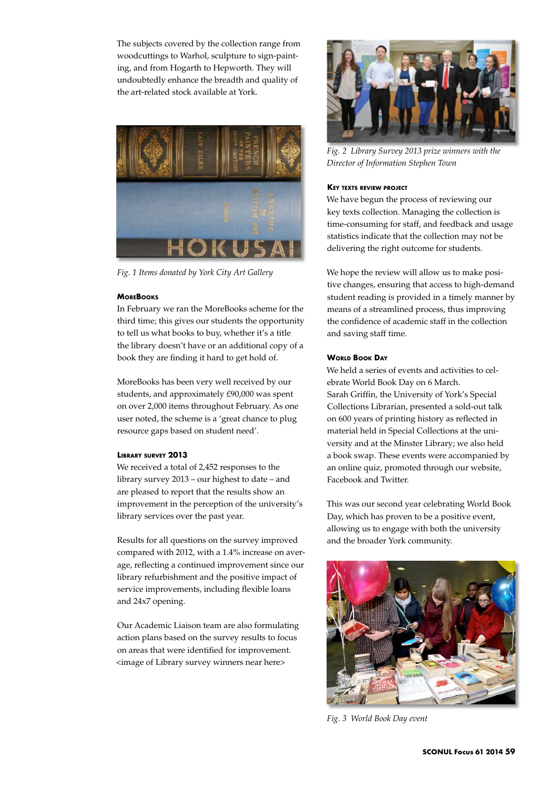The subjects covered by the collection range from woodcuttings to Warhol, sculpture to sign-painting, and from Hogarth to Hepworth. They will undoubtedly enhance the breadth and quality of the art-related stock available at York.



*Fig. 1 Items donated by York City Art Gallery* 

#### **MoreBooks**

In February we ran the MoreBooks scheme for the third time; this gives our students the opportunity to tell us what books to buy, whether it's a title the library doesn't have or an additional copy of a book they are finding it hard to get hold of.

MoreBooks has been very well received by our students, and approximately £90,000 was spent on over 2,000 items throughout February. As one user noted, the scheme is a 'great chance to plug resource gaps based on student need'.

# **Library survey 2013**

We received a total of 2,452 responses to the library survey 2013 – our highest to date – and are pleased to report that the results show an improvement in the perception of the university's library services over the past year.

Results for all questions on the survey improved compared with 2012, with a 1.4% increase on average, reflecting a continued improvement since our library refurbishment and the positive impact of service improvements, including flexible loans and 24x7 opening.

Our Academic Liaison team are also formulating action plans based on the survey results to focus on areas that were identified for improvement. <image of Library survey winners near here>



*Fig. 2 Library Survey 2013 prize winners with the Director of Information Stephen Town*

# **Key texts review project**

We have begun the process of reviewing our key texts collection. Managing the collection is time-consuming for staff, and feedback and usage statistics indicate that the collection may not be delivering the right outcome for students.

We hope the review will allow us to make positive changes, ensuring that access to high-demand student reading is provided in a timely manner by means of a streamlined process, thus improving the confidence of academic staff in the collection and saving staff time.

#### **World Book Day**

We held a series of events and activities to celebrate World Book Day on 6 March. Sarah Griffin, the University of York's Special Collections Librarian, presented a sold-out talk on 600 years of printing history as reflected in material held in Special Collections at the university and at the Minster Library; we also held a book swap. These events were accompanied by an online quiz, promoted through our website, Facebook and Twitter.

This was our second year celebrating World Book Day, which has proven to be a positive event, allowing us to engage with both the university and the broader York community.



*Fig. 3 World Book Day event*